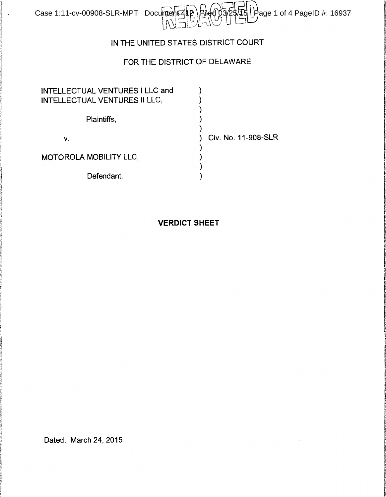



istinin eksimplea kohandalaksi kohandala

**includes** 

**ISSUED PROVING** 

language and a local control and states

**International Control Control Control Control** 

**international control** 

**In the column of the column of the column of the column of the column of the column of the column of the column** 

## IN THE UNITED STATES DISTRICT COURT

# FOR THE DISTRICT OF DELAWARE

| INTELLECTUAL VENTURES I LLC and<br><b>INTELLECTUAL VENTURES II LLC,</b> |                     |
|-------------------------------------------------------------------------|---------------------|
| Plaintiffs,                                                             |                     |
| ν.                                                                      | Civ. No. 11-908-SLR |
| MOTOROLA MOBILITY LLC,                                                  |                     |
| Defendant.                                                              |                     |

## **VERDICT SHEET**

Dated: March 24, 2015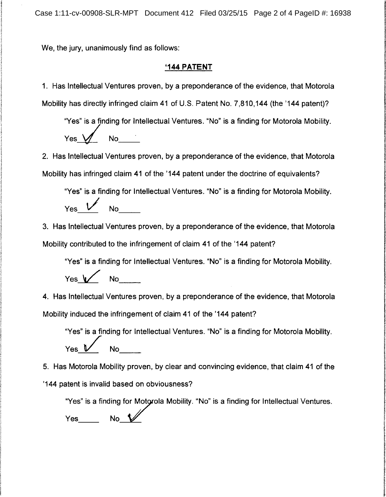Case 1:11-cv-00908-SLR-MPT Document 412 Filed 03/25/15 Page 2 of 4 PageID #: 16938

We, the jury, unanimously find as follows:

#### **'144 PATENT**

1. Has Intellectual Ventures proven, by a preponderance of the evidence, that Motorola Mobility has directly infringed claim 41 of U.S. Patent No. 7,810,144 (the '144 patent)?

"Yes" is a finding for Intellectual Ventures. "No" is a finding for Motorola Mobility. Yes  $M$  No  $\blacksquare$ 

2. Has Intellectual Ventures proven, by a preponderance of the evidence, that Motorola Mobility has infringed claim 41 of the '144 patent under the doctrine of equivalents?

"Yes" is a finding for Intellectual Ventures. "No" is a finding for Motorola Mobility. Yes V No --

**WAS A COMMODIATED AND A CONTROL International Activity INVESTIGATION** 

**International Constitution Constitution** 

**In this Column Constitution, and Child Column** 

rent months

I i t

! the phase of the

In the Column Section of the Column Section

International School of Contemporary and Contemporary and Contemporary and Contemporary

**In alterational conditions and in-**

3. Has Intellectual Ventures proven, by a preponderance of the evidence, that Motorola Mobility contributed to the infringement of claim 41 of the '144 patent?

"Yes" is a finding for Intellectual Ventures. "No" is a finding for Motorola Mobility.

Yes  $V$  No  $\sim$ 

4. Has Intellectual Ventures proven, by a preponderance of the evidence, that Motorola Mobility induced the infringement of claim 41 of the '144 patent?

"Yes" is a finding for Intellectual Ventures. "No" is a finding for Motorola Mobility.<br>Yes Morrow No

5. Has Motorola Mobility proven, by clear and convincing evidence, that claim 41 of the '144 patent is invalid based on obviousness?

"Yes" is a finding for M,~ola Mobility. "No" is a finding for Intellectual Ventures. Yes No if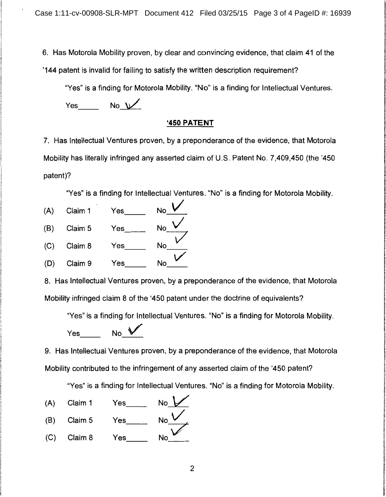6. Has Motorola Mobility proven, by clear and convincing evidence, that claim 41 of the

'144 patent is invalid for failing to satisfy the written description requirement?

"Yes" is a finding for Motorola Mobility. "No" is a finding for Intellectual Ventures.

Yes  $No~V$ 

#### **'450 PATENT**

7. Has Intellectual Ventures proven, by a preponderance of the evidence, that Motorola Mobility has literally infringed any asserted claim of U.S. Patent No. 7,409,450 (the '450 patent)?

(A) (8) (C) (D) "Yes" is a finding for Intellectual Ventures. "No" is a finding for Motorola Mobility. Claim <sup>1</sup>Yes Nov --  $N_o$   $\vee$  $\overline{\phantom{0}}^N\overline{\phantom{0}}^N$ Claim 1 Yes<br>Claim 5 Yes Claim 8 Yes Claim 8 Yes\_\_\_\_\_ No\_\_\_\_<br>Claim 9 Yes\_\_\_\_\_ No\_\_\_\_

8. Has Intellectual Ventures proven, by a preponderance of the evidence, that Motorola Mobility infringed claim 8 of the '450 patent under the doctrine of equivalents?

"Yes" is a finding for Intellectual Ventures. "No" is a finding for Motorola Mobility.

Yes No **V** 

9. Has Intellectual Ventures proven, by a preponderance of the evidence, that Motorola Mobility contributed to the infringement of any asserted claim of the '450 patent?

"Yes" is a finding for Intellectual Ventures. "No" is a finding for Motorola Mobility.